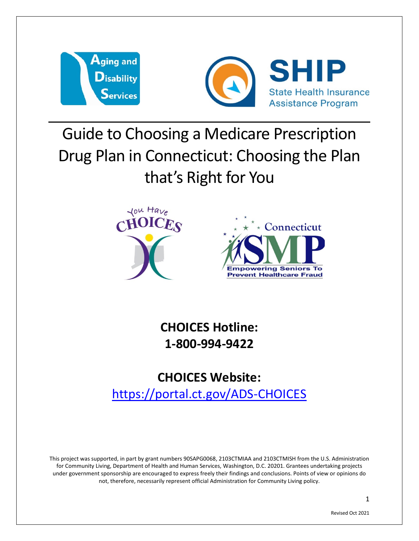



# Guide to Choosing a Medicare Prescription Drug Plan in Connecticut: Choosing the Plan that's Right for You





**CHOICES Hotline: 1-800-994-9422**

## **CHOICES Website:** <https://portal.ct.gov/ADS-CHOICES>

This project was supported, in part by grant numbers 90SAPG0068, 2103CTMIAA and 2103CTMISH from the U.S. Administration for Community Living, Department of Health and Human Services, Washington, D.C. 20201. Grantees undertaking projects under government sponsorship are encouraged to express freely their findings and conclusions. Points of view or opinions do not, therefore, necessarily represent official Administration for Community Living policy.

Revised Oct 2021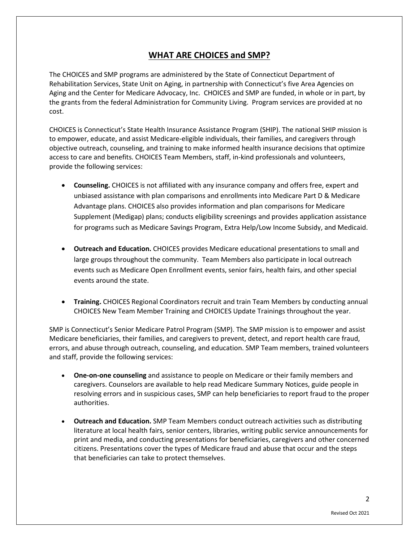### **WHAT ARE CHOICES and SMP?**

The CHOICES and SMP programs are administered by the State of Connecticut Department of Rehabilitation Services, State Unit on Aging, in partnership with Connecticut's five Area Agencies on Aging and the Center for Medicare Advocacy, Inc. CHOICES and SMP are funded, in whole or in part, by the grants from the federal Administration for Community Living. Program services are provided at no cost.

CHOICES is Connecticut's State Health Insurance Assistance Program (SHIP). The national SHIP mission is to empower, educate, and assist Medicare-eligible individuals, their families, and caregivers through objective outreach, counseling, and training to make informed health insurance decisions that optimize access to care and benefits. CHOICES Team Members, staff, in-kind professionals and volunteers, provide the following services:

- **Counseling.** CHOICES is not affiliated with any insurance company and offers free, expert and unbiased assistance with plan comparisons and enrollments into Medicare Part D & Medicare Advantage plans. CHOICES also provides information and plan comparisons for Medicare Supplement (Medigap) plans; conducts eligibility screenings and provides application assistance for programs such as Medicare Savings Program, Extra Help/Low Income Subsidy, and Medicaid.
- **Outreach and Education.** CHOICES provides Medicare educational presentations to small and large groups throughout the community. Team Members also participate in local outreach events such as Medicare Open Enrollment events, senior fairs, health fairs, and other special events around the state.
- **Training.** CHOICES Regional Coordinators recruit and train Team Members by conducting annual CHOICES New Team Member Training and CHOICES Update Trainings throughout the year.

SMP is Connecticut's Senior Medicare Patrol Program (SMP). The SMP mission is to empower and assist Medicare beneficiaries, their families, and caregivers to prevent, detect, and report health care fraud, errors, and abuse through outreach, counseling, and education. SMP Team members, trained volunteers and staff, provide the following services:

- **One-on-one counseling** and assistance to people on Medicare or their family members and caregivers. Counselors are available to help read Medicare Summary Notices, guide people in resolving errors and in suspicious cases, SMP can help beneficiaries to report fraud to the proper authorities.
- **Outreach and Education.** SMP Team Members conduct outreach activities such as distributing literature at local health fairs, senior centers, libraries, writing public service announcements for print and media, and conducting presentations for beneficiaries, caregivers and other concerned citizens. Presentations cover the types of Medicare fraud and abuse that occur and the steps that beneficiaries can take to protect themselves.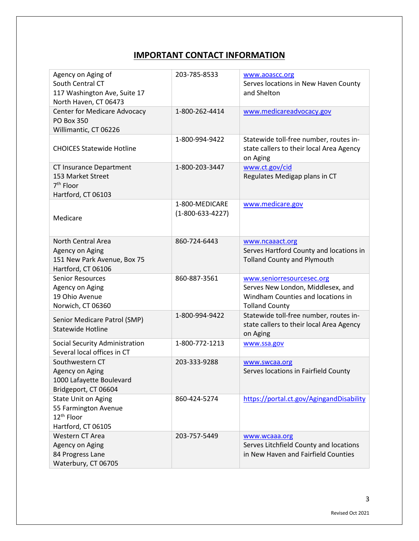## **IMPORTANT CONTACT INFORMATION**

| Agency on Aging of<br>South Central CT<br>117 Washington Ave, Suite 17<br>North Haven, CT 06473    | 203-785-8533                               | www.aoascc.org<br>Serves locations in New Haven County<br>and Shelton                                                        |
|----------------------------------------------------------------------------------------------------|--------------------------------------------|------------------------------------------------------------------------------------------------------------------------------|
| <b>Center for Medicare Advocacy</b><br><b>PO Box 350</b><br>Willimantic, CT 06226                  | 1-800-262-4414                             | www.medicareadvocacy.gov                                                                                                     |
| <b>CHOICES Statewide Hotline</b>                                                                   | 1-800-994-9422                             | Statewide toll-free number, routes in-<br>state callers to their local Area Agency<br>on Aging                               |
| <b>CT Insurance Department</b><br>153 Market Street<br>$7th$ Floor<br>Hartford, CT 06103           | 1-800-203-3447                             | www.ct.gov/cid<br>Regulates Medigap plans in CT                                                                              |
| Medicare                                                                                           | 1-800-MEDICARE<br>$(1 - 800 - 633 - 4227)$ | www.medicare.gov                                                                                                             |
| North Central Area<br>Agency on Aging<br>151 New Park Avenue, Box 75<br>Hartford, CT 06106         | 860-724-6443                               | www.ncaaact.org<br>Serves Hartford County and locations in<br><b>Tolland County and Plymouth</b>                             |
| <b>Senior Resources</b><br>Agency on Aging<br>19 Ohio Avenue<br>Norwich, CT 06360                  | 860-887-3561                               | www.seniorresourcesec.org<br>Serves New London, Middlesex, and<br>Windham Counties and locations in<br><b>Tolland County</b> |
| Senior Medicare Patrol (SMP)<br><b>Statewide Hotline</b>                                           | 1-800-994-9422                             | Statewide toll-free number, routes in-<br>state callers to their local Area Agency<br>on Aging                               |
| Social Security Administration<br>Several local offices in CT                                      | 1-800-772-1213                             | www.ssa.gov                                                                                                                  |
| Southwestern CT<br>Agency on Aging<br>1000 Lafayette Boulevard<br>Bridgeport, CT 06604             | 203-333-9288                               | www.swcaa.org<br>Serves locations in Fairfield County                                                                        |
| <b>State Unit on Aging</b><br>55 Farmington Avenue<br>12 <sup>th</sup> Floor<br>Hartford, CT 06105 | 860-424-5274                               | https://portal.ct.gov/AgingandDisability                                                                                     |
| Western CT Area<br>Agency on Aging<br>84 Progress Lane<br>Waterbury, CT 06705                      | 203-757-5449                               | www.wcaaa.org<br>Serves Litchfield County and locations<br>in New Haven and Fairfield Counties                               |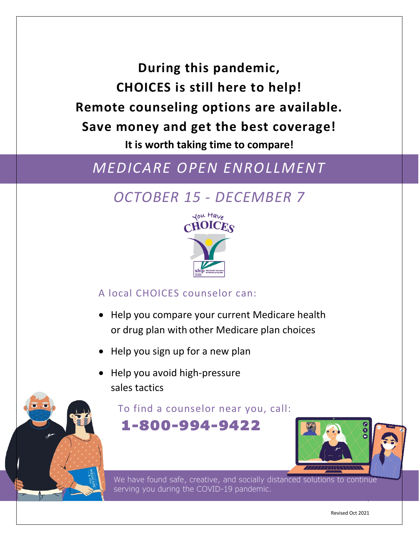**During this pandemic, CHOICES is still here to help! Remote counseling options are available. Save money and get the best coverage! It is worth taking time to compare!**

## *MEDICARE OPEN ENROLLMENT*

## *OCTOBER 15 - DECEMBER 7*



## A local CHOICES counselor can:

- Help you compare your current Medicare health or drug plan with other Medicare plan choices
- Help you sign up for a new plan
- Help you avoid high-pressure sales tactics

To find a counselor near you, call:

1-800-994-9422



We have found safe, creative, and socially distanced solutions to continue serving you during the COVID-19 pandemic.

Revised Oct 2021

4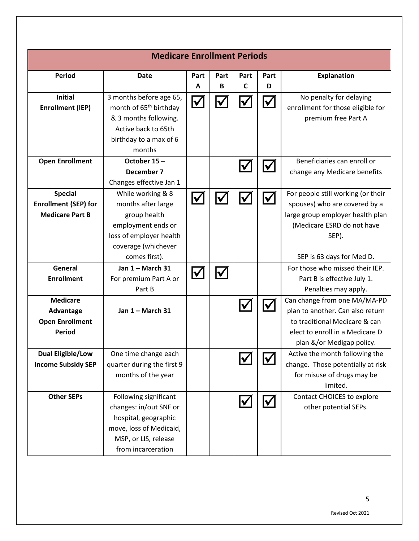| <b>Medicare Enrollment Periods</b>                                      |                                                                                                                                                   |          |                      |                      |                      |                                                                                                                                                                   |  |
|-------------------------------------------------------------------------|---------------------------------------------------------------------------------------------------------------------------------------------------|----------|----------------------|----------------------|----------------------|-------------------------------------------------------------------------------------------------------------------------------------------------------------------|--|
| Period                                                                  | <b>Date</b>                                                                                                                                       | Part     | Part                 | Part                 | Part                 | <b>Explanation</b>                                                                                                                                                |  |
|                                                                         |                                                                                                                                                   | A        | В                    | $\mathbf C$          | D                    |                                                                                                                                                                   |  |
| <b>Initial</b><br><b>Enrollment (IEP)</b>                               | 3 months before age 65,<br>month of 65 <sup>th</sup> birthday<br>& 3 months following.<br>Active back to 65th<br>birthday to a max of 6<br>months | <u>V</u> | V                    | $\blacktriangledown$ | $\blacktriangledown$ | No penalty for delaying<br>enrollment for those eligible for<br>premium free Part A                                                                               |  |
| <b>Open Enrollment</b>                                                  | October 15-<br>December 7<br>Changes effective Jan 1                                                                                              |          |                      | $\blacktriangledown$ | $\checkmark$         | Beneficiaries can enroll or<br>change any Medicare benefits                                                                                                       |  |
| <b>Special</b><br><b>Enrollment (SEP) for</b><br><b>Medicare Part B</b> | While working & 8<br>months after large<br>group health<br>employment ends or<br>loss of employer health<br>coverage (whichever                   | V        | $\blacktriangledown$ | lv                   |                      | For people still working (or their<br>spouses) who are covered by a<br>large group employer health plan<br>(Medicare ESRD do not have<br>SEP).                    |  |
|                                                                         | comes first).                                                                                                                                     |          |                      |                      |                      | SEP is 63 days for Med D.                                                                                                                                         |  |
| General<br><b>Enrollment</b>                                            | Jan 1 - March 31<br>For premium Part A or<br>Part B                                                                                               | lν       | $\blacktriangledown$ |                      |                      | For those who missed their IEP.<br>Part B is effective July 1.<br>Penalties may apply.                                                                            |  |
| <b>Medicare</b><br>Advantage<br><b>Open Enrollment</b><br><b>Period</b> | Jan 1 - March 31                                                                                                                                  |          |                      | V                    | V                    | Can change from one MA/MA-PD<br>plan to another. Can also return<br>to traditional Medicare & can<br>elect to enroll in a Medicare D<br>plan &/or Medigap policy. |  |
| <b>Dual Eligible/Low</b><br><b>Income Subsidy SEP</b>                   | One time change each<br>quarter during the first 9<br>months of the year                                                                          |          |                      |                      |                      | Active the month following the<br>change. Those potentially at risk<br>for misuse of drugs may be<br>limited.                                                     |  |
| <b>Other SEPs</b>                                                       | Following significant<br>changes: in/out SNF or<br>hospital, geographic<br>move, loss of Medicaid,<br>MSP, or LIS, release<br>from incarceration  |          |                      | $\blacktriangledown$ | $\blacktriangledown$ | <b>Contact CHOICES to explore</b><br>other potential SEPs.                                                                                                        |  |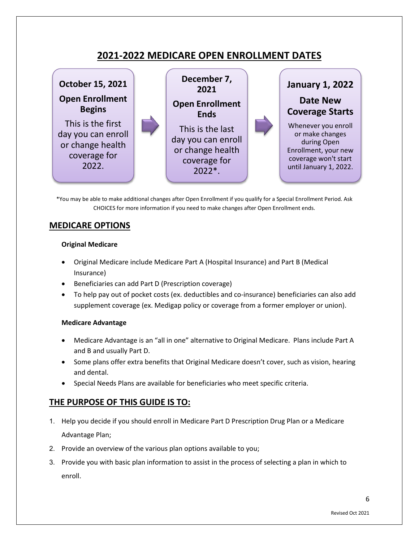## **2021-2022 MEDICARE OPEN ENROLLMENT DATES**



\*You may be able to make additional changes after Open Enrollment if you qualify for a Special Enrollment Period. Ask CHOICES for more information if you need to make changes after Open Enrollment ends.

#### **MEDICARE OPTIONS**

#### **Original Medicare**

- Original Medicare include Medicare Part A (Hospital Insurance) and Part B (Medical Insurance)
- Beneficiaries can add Part D (Prescription coverage)
- To help pay out of pocket costs (ex. deductibles and co-insurance) beneficiaries can also add supplement coverage (ex. Medigap policy or coverage from a former employer or union).

#### **Medicare Advantage**

- Medicare Advantage is an "all in one" alternative to Original Medicare. Plans include Part A and B and usually Part D.
- Some plans offer extra benefits that Original Medicare doesn't cover, such as vision, hearing and dental.
- Special Needs Plans are available for beneficiaries who meet specific criteria.

## **THE PURPOSE OF THIS GUIDE IS TO:**

- 1. Help you decide if you should enroll in Medicare Part D Prescription Drug Plan or a Medicare Advantage Plan;
- 2. Provide an overview of the various plan options available to you;
- 3. Provide you with basic plan information to assist in the process of selecting a plan in which to enroll.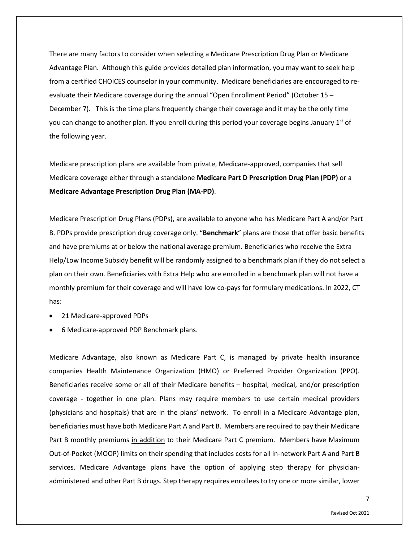There are many factors to consider when selecting a Medicare Prescription Drug Plan or Medicare Advantage Plan. Although this guide provides detailed plan information, you may want to seek help from a certified CHOICES counselor in your community. Medicare beneficiaries are encouraged to reevaluate their Medicare coverage during the annual "Open Enrollment Period" (October 15 – December 7). This is the time plans frequently change their coverage and it may be the only time you can change to another plan. If you enroll during this period your coverage begins January  $1<sup>st</sup>$  of the following year.

Medicare prescription plans are available from private, Medicare-approved, companies that sell Medicare coverage either through a standalone **Medicare Part D Prescription Drug Plan (PDP)** or a **Medicare Advantage Prescription Drug Plan (MA-PD)**.

Medicare Prescription Drug Plans (PDPs), are available to anyone who has Medicare Part A and/or Part B. PDPs provide prescription drug coverage only. "**Benchmark**" plans are those that offer basic benefits and have premiums at or below the national average premium. Beneficiaries who receive the Extra Help/Low Income Subsidy benefit will be randomly assigned to a benchmark plan if they do not select a plan on their own. Beneficiaries with Extra Help who are enrolled in a benchmark plan will not have a monthly premium for their coverage and will have low co-pays for formulary medications. In 2022, CT has:

- 21 Medicare-approved PDPs
- 6 Medicare-approved PDP Benchmark plans.

Medicare Advantage, also known as Medicare Part C, is managed by private health insurance companies Health Maintenance Organization (HMO) or Preferred Provider Organization (PPO). Beneficiaries receive some or all of their Medicare benefits – hospital, medical, and/or prescription coverage - together in one plan. Plans may require members to use certain medical providers (physicians and hospitals) that are in the plans' network. To enroll in a Medicare Advantage plan, beneficiaries must have both Medicare Part A and Part B. Members are required to pay their Medicare Part B monthly premiums in addition to their Medicare Part C premium. Members have Maximum Out-of-Pocket (MOOP) limits on their spending that includes costs for all in-network Part A and Part B services. Medicare Advantage plans have the option of applying step therapy for physicianadministered and other Part B drugs. Step therapy requires enrollees to try one or more similar, lower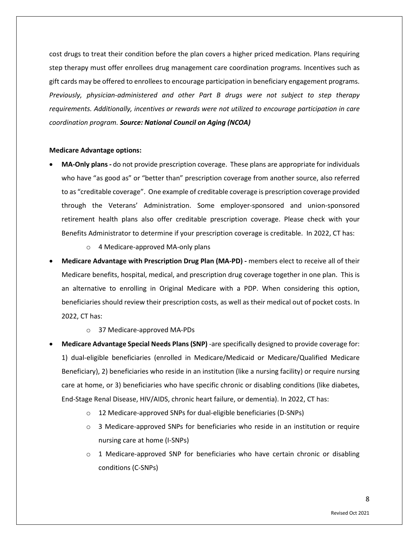cost drugs to treat their condition before the plan covers a higher priced medication. Plans requiring step therapy must offer enrollees drug management care coordination programs. Incentives such as gift cards may be offered to enrollees to encourage participation in beneficiary engagement programs. *Previously, physician-administered and other Part B drugs were not subject to step therapy requirements. Additionally, incentives or rewards were not utilized to encourage participation in care coordination program. Source: National Council on Aging (NCOA)*

#### **Medicare Advantage options:**

- **MA-Only plans-** do not provide prescription coverage. These plans are appropriate for individuals who have "as good as" or "better than" prescription coverage from another source, also referred to as "creditable coverage". One example of creditable coverage is prescription coverage provided through the Veterans' Administration. Some employer-sponsored and union-sponsored retirement health plans also offer creditable prescription coverage. Please check with your Benefits Administrator to determine if your prescription coverage is creditable. In 2022, CT has:
	- o 4 Medicare-approved MA-only plans
- **Medicare Advantage with Prescription Drug Plan (MA-PD) -** members elect to receive all of their Medicare benefits, hospital, medical, and prescription drug coverage together in one plan. This is an alternative to enrolling in Original Medicare with a PDP. When considering this option, beneficiaries should review their prescription costs, as well as their medical out of pocket costs. In 2022, CT has:
	- o 37 Medicare-approved MA-PDs
- **Medicare Advantage Special Needs Plans(SNP)** -are specifically designed to provide coverage for: 1) dual-eligible beneficiaries (enrolled in Medicare/Medicaid or Medicare/Qualified Medicare Beneficiary), 2) beneficiaries who reside in an institution (like a nursing facility) or require nursing care at home, or 3) beneficiaries who have specific chronic or disabling conditions (like diabetes, End-Stage Renal Disease, HIV/AIDS, chronic heart failure, or dementia). In 2022, CT has:
	- o 12 Medicare-approved SNPs for dual-eligible beneficiaries (D-SNPs)
	- $\circ$  3 Medicare-approved SNPs for beneficiaries who reside in an institution or require nursing care at home (I-SNPs)
	- o 1 Medicare-approved SNP for beneficiaries who have certain chronic or disabling conditions (C-SNPs)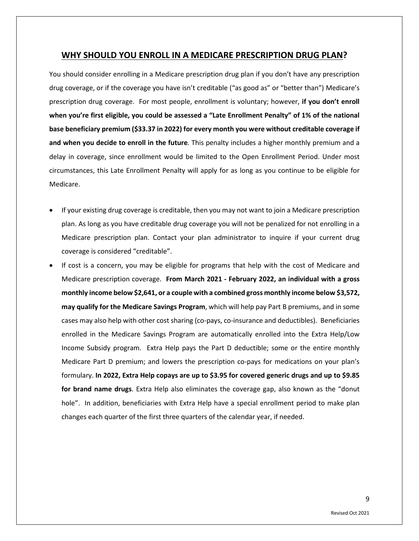#### **WHY SHOULD YOU ENROLL IN A MEDICARE PRESCRIPTION DRUG PLAN?**

You should consider enrolling in a Medicare prescription drug plan if you don't have any prescription drug coverage, or if the coverage you have isn't creditable ("as good as" or "better than") Medicare's prescription drug coverage. For most people, enrollment is voluntary; however, **if you don't enroll when you're first eligible, you could be assessed a "Late Enrollment Penalty" of 1% of the national base beneficiary premium (\$33.37 in 2022) for every month you were without creditable coverage if and when you decide to enroll in the future***.* This penalty includes a higher monthly premium and a delay in coverage, since enrollment would be limited to the Open Enrollment Period. Under most circumstances, this Late Enrollment Penalty will apply for as long as you continue to be eligible for Medicare.

- If your existing drug coverage is creditable, then you may not want to join a Medicare prescription plan. As long as you have creditable drug coverage you will not be penalized for not enrolling in a Medicare prescription plan. Contact your plan administrator to inquire if your current drug coverage is considered "creditable".
- If cost is a concern, you may be eligible for programs that help with the cost of Medicare and Medicare prescription coverage. **From March 2021 - February 2022, an individual with a gross monthly income below \$2,641, or a couple with a combined gross monthly income below \$3,572, may qualify for the Medicare Savings Program**, which will help pay Part B premiums, and in some cases may also help with other cost sharing (co-pays, co-insurance and deductibles). Beneficiaries enrolled in the Medicare Savings Program are automatically enrolled into the Extra Help/Low Income Subsidy program. Extra Help pays the Part D deductible; some or the entire monthly Medicare Part D premium; and lowers the prescription co-pays for medications on your plan's formulary. **In 2022, Extra Help copays are up to \$3.95 for covered generic drugs and up to \$9.85 for brand name drugs**. Extra Help also eliminates the coverage gap, also known as the "donut hole". In addition, beneficiaries with Extra Help have a special enrollment period to make plan changes each quarter of the first three quarters of the calendar year, if needed.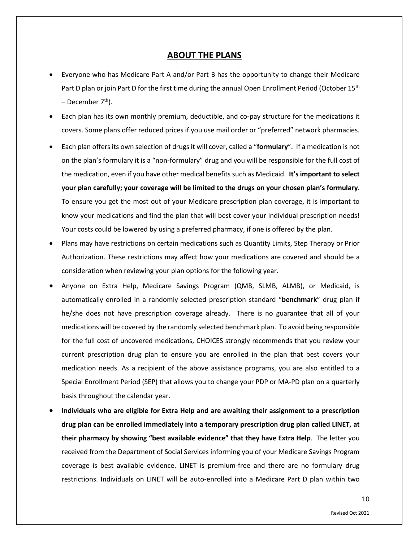#### **ABOUT THE PLANS**

- Everyone who has Medicare Part A and/or Part B has the opportunity to change their Medicare Part D plan or join Part D for the first time during the annual Open Enrollment Period (October 15<sup>th</sup>)  $–$  December  $7<sup>th</sup>$ ).
- Each plan has its own monthly premium, deductible, and co-pay structure for the medications it covers. Some plans offer reduced prices if you use mail order or "preferred" network pharmacies.
- Each plan offers its own selection of drugs it will cover, called a "**formulary**". If a medication is not on the plan's formulary it is a "non-formulary" drug and you will be responsible for the full cost of the medication, even if you have other medical benefits such as Medicaid. **It's important to select your plan carefully; your coverage will be limited to the drugs on your chosen plan's formulary**. To ensure you get the most out of your Medicare prescription plan coverage, it is important to know your medications and find the plan that will best cover your individual prescription needs! Your costs could be lowered by using a preferred pharmacy, if one is offered by the plan.
- Plans may have restrictions on certain medications such as Quantity Limits, Step Therapy or Prior Authorization. These restrictions may affect how your medications are covered and should be a consideration when reviewing your plan options for the following year.
- Anyone on Extra Help, Medicare Savings Program (QMB, SLMB, ALMB), or Medicaid, is automatically enrolled in a randomly selected prescription standard "**benchmark**" drug plan if he/she does not have prescription coverage already. There is no guarantee that all of your medications will be covered by the randomly selected benchmark plan. To avoid being responsible for the full cost of uncovered medications, CHOICES strongly recommends that you review your current prescription drug plan to ensure you are enrolled in the plan that best covers your medication needs. As a recipient of the above assistance programs, you are also entitled to a Special Enrollment Period (SEP) that allows you to change your PDP or MA-PD plan on a quarterly basis throughout the calendar year.
- **Individuals who are eligible for Extra Help and are awaiting their assignment to a prescription drug plan can be enrolled immediately into a temporary prescription drug plan called LINET, at their pharmacy by showing "best available evidence" that they have Extra Help**. The letter you received from the Department of Social Services informing you of your Medicare Savings Program coverage is best available evidence. LINET is premium-free and there are no formulary drug restrictions. Individuals on LINET will be auto-enrolled into a Medicare Part D plan within two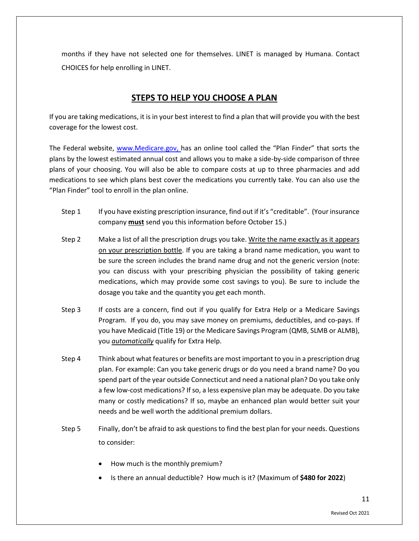months if they have not selected one for themselves. LINET is managed by Humana. Contact CHOICES for help enrolling in LINET.

## **STEPS TO HELP YOU CHOOSE A PLAN**

If you are taking medications, it is in your best interest to find a plan that will provide you with the best coverage for the lowest cost.

The Federal website, [www.Medicare.gov,](http://www.medicare.gov/) has an online tool called the "Plan Finder" that sorts the plans by the lowest estimated annual cost and allows you to make a side-by-side comparison of three plans of your choosing. You will also be able to compare costs at up to three pharmacies and add medications to see which plans best cover the medications you currently take. You can also use the "Plan Finder" tool to enroll in the plan online.

- Step 1 If you have existing prescription insurance, find out if it's "creditable". (Your insurance company **must** send you this information before October 15.)
- Step 2 Make a list of all the prescription drugs you take. Write the name exactly as it appears on your prescription bottle. If you are taking a brand name medication, you want to be sure the screen includes the brand name drug and not the generic version (note: you can discuss with your prescribing physician the possibility of taking generic medications, which may provide some cost savings to you). Be sure to include the dosage you take and the quantity you get each month.
- Step 3 If costs are a concern, find out if you qualify for Extra Help or a Medicare Savings Program. If you do, you may save money on premiums, deductibles, and co-pays. If you have Medicaid (Title 19) or the Medicare Savings Program (QMB, SLMB or ALMB), you *automatically* qualify for Extra Help.
- Step 4 Think about what features or benefits are most important to you in a prescription drug plan. For example: Can you take generic drugs or do you need a brand name? Do you spend part of the year outside Connecticut and need a national plan? Do you take only a few low-cost medications? If so, a less expensive plan may be adequate. Do you take many or costly medications? If so, maybe an enhanced plan would better suit your needs and be well worth the additional premium dollars.
- Step 5 Finally, don't be afraid to ask questions to find the best plan for your needs. Questions to consider:
	- How much is the monthly premium?
	- Is there an annual deductible? How much is it? (Maximum of **\$480 for 2022**)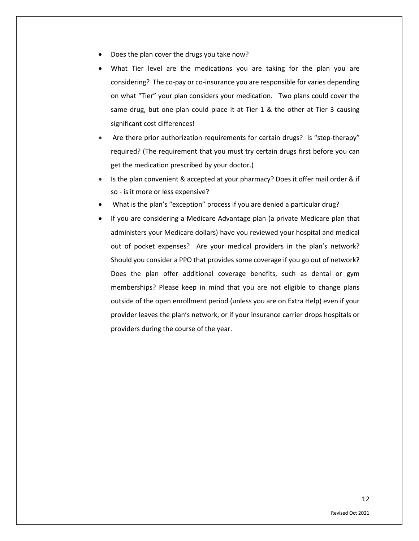- Does the plan cover the drugs you take now?
- What Tier level are the medications you are taking for the plan you are considering? The co-pay or co-insurance you are responsible for varies depending on what "Tier" your plan considers your medication. Two plans could cover the same drug, but one plan could place it at Tier 1 & the other at Tier 3 causing significant cost differences!
- Are there prior authorization requirements for certain drugs? Is "step-therapy" required? (The requirement that you must try certain drugs first before you can get the medication prescribed by your doctor.)
- Is the plan convenient & accepted at your pharmacy? Does it offer mail order & if so - is it more or less expensive?
- What is the plan's "exception" process if you are denied a particular drug?
- If you are considering a Medicare Advantage plan (a private Medicare plan that administers your Medicare dollars) have you reviewed your hospital and medical out of pocket expenses? Are your medical providers in the plan's network? Should you consider a PPO that provides some coverage if you go out of network? Does the plan offer additional coverage benefits, such as dental or gym memberships? Please keep in mind that you are not eligible to change plans outside of the open enrollment period (unless you are on Extra Help) even if your provider leaves the plan's network, or if your insurance carrier drops hospitals or providers during the course of the year.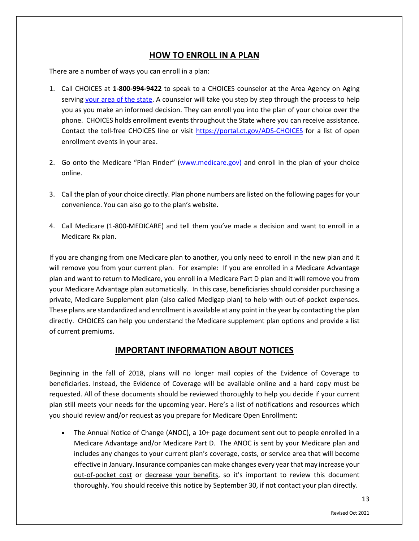#### **HOW TO ENROLL IN A PLAN**

There are a number of ways you can enroll in a plan:

- 1. Call CHOICES at **1-800-994-9422** to speak to a CHOICES counselor at the Area Agency on Aging serving [your area of the state.](https://portal.ct.gov/AgingandDisability/Content-Pages/Topics-A-Z/Area-Agencies-on-Aging) A counselor will take you step by step through the process to help you as you make an informed decision. They can enroll you into the plan of your choice over the phone. CHOICES holds enrollment events throughout the State where you can receive assistance. Contact the toll-free CHOICES line or visit<https://portal.ct.gov/ADS-CHOICES> for a list of open enrollment events in your area.
- 2. Go onto the Medicare "Plan Finder" [\(www.medicare.gov\)](http://www.medicare.gov/) and enroll in the plan of your choice online.
- 3. Call the plan of your choice directly. Plan phone numbers are listed on the following pages for your convenience. You can also go to the plan's website.
- 4. Call Medicare (1-800-MEDICARE) and tell them you've made a decision and want to enroll in a Medicare Rx plan.

If you are changing from one Medicare plan to another, you only need to enroll in the new plan and it will remove you from your current plan. For example: If you are enrolled in a Medicare Advantage plan and want to return to Medicare, you enroll in a Medicare Part D plan and it will remove you from your Medicare Advantage plan automatically. In this case, beneficiaries should consider purchasing a private, Medicare Supplement plan (also called Medigap plan) to help with out-of-pocket expenses. These plans are standardized and enrollment is available at any point in the year by contacting the plan directly. CHOICES can help you understand the Medicare supplement plan options and provide a list of current premiums.

#### **IMPORTANT INFORMATION ABOUT NOTICES**

Beginning in the fall of 2018, plans will no longer mail copies of the Evidence of Coverage to beneficiaries. Instead, the Evidence of Coverage will be available online and a hard copy must be requested. All of these documents should be reviewed thoroughly to help you decide if your current plan still meets your needs for the upcoming year. Here's a list of notifications and resources which you should review and/or request as you prepare for Medicare Open Enrollment:

• The Annual Notice of Change (ANOC), a 10+ page document sent out to people enrolled in a Medicare Advantage and/or Medicare Part D. The ANOC is sent by your Medicare plan and includes any changes to your current plan's coverage, costs, or service area that will become effective in January. Insurance companies can make changes every year that may increase your out-of-pocket cost or decrease your benefits, so it's important to review this document thoroughly. You should receive this notice by September 30, if not contact your plan directly.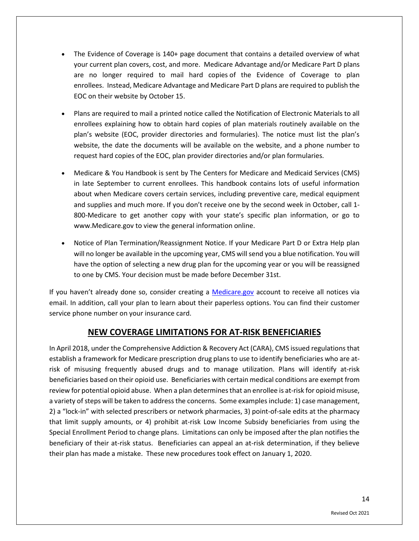- The Evidence of Coverage is 140+ page document that contains a detailed overview of what your current plan covers, cost, and more. Medicare Advantage and/or Medicare Part D plans are no longer required to mail hard copies of the Evidence of Coverage to plan enrollees. Instead, Medicare Advantage and Medicare Part D plans are required to publish the EOC on their website by October 15.
- Plans are required to mail a printed notice called the Notification of Electronic Materials to all enrollees explaining how to obtain hard copies of plan materials routinely available on the plan's website (EOC, provider directories and formularies). The notice must list the plan's website, the date the documents will be available on the website, and a phone number to request hard copies of the EOC, plan provider directories and/or plan formularies.
- Medicare & You Handbook is sent by The Centers for Medicare and Medicaid Services (CMS) in late September to current enrollees. This handbook contains lots of useful information about when Medicare covers certain services, including preventive care, medical equipment and supplies and much more. If you don't receive one by the second week in October, call 1- 800-Medicare to get another copy with your state's specific plan information, or go to www.Medicare.gov to view the general information online.
- Notice of Plan Termination/Reassignment Notice. If your Medicare Part D or Extra Help plan will no longer be available in the upcoming year, CMS will send you a blue notification. You will have the option of selecting a new drug plan for the upcoming year or you will be reassigned to one by CMS. Your decision must be made before December 31st.

If you haven't already done so, consider creating a [Medicare.gov](https://www.medicare.gov/) account to receive all notices via email. In addition, call your plan to learn about their paperless options. You can find their customer service phone number on your insurance card.

#### **NEW COVERAGE LIMITATIONS FOR AT-RISK BENEFICIARIES**

In April 2018, under the Comprehensive Addiction & Recovery Act (CARA), CMS issued regulations that establish a framework for Medicare prescription drug plans to use to identify beneficiaries who are atrisk of misusing frequently abused drugs and to manage utilization. Plans will identify at-risk beneficiaries based on their opioid use. Beneficiaries with certain medical conditions are exempt from review for potential opioid abuse. When a plan determines that an enrollee is at-risk for opioid misuse, a variety of steps will be taken to address the concerns. Some examples include: 1) case management, 2) a "lock-in" with selected prescribers or network pharmacies, 3) point-of-sale edits at the pharmacy that limit supply amounts, or 4) prohibit at-risk Low Income Subsidy beneficiaries from using the Special Enrollment Period to change plans. Limitations can only be imposed after the plan notifies the beneficiary of their at-risk status. Beneficiaries can appeal an at-risk determination, if they believe their plan has made a mistake. These new procedures took effect on January 1, 2020.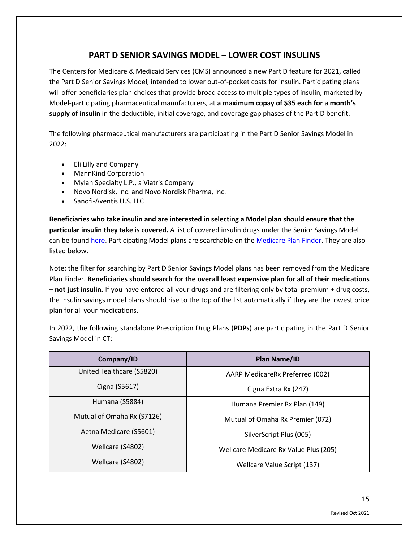## **PART D SENIOR SAVINGS MODEL – LOWER COST INSULINS**

The Centers for Medicare & Medicaid Services (CMS) announced a new Part D feature for 2021, called the Part D Senior Savings Model, intended to lower out-of-pocket costs for insulin. Participating plans will offer beneficiaries plan choices that provide broad access to multiple types of insulin, marketed by Model-participating pharmaceutical manufacturers, at **a maximum copay of \$35 each for a month's supply of insulin** in the deductible, initial coverage, and coverage gap phases of the Part D benefit.

The following pharmaceutical manufacturers are participating in the Part D Senior Savings Model in 2022:

- Eli Lilly and Company
- MannKind Corporation
- Mylan Specialty L.P., a Viatris Company
- Novo Nordisk, Inc. and Novo Nordisk Pharma, Inc.
- Sanofi-Aventis U.S. LLC

**Beneficiaries who take insulin and are interested in selecting a Model plan should ensure that the particular insulin they take is covered.** A list of covered insulin drugs under the Senior Savings Model can be found [here.](https://innovation.cms.gov/media/document/partd-seniorsav-ndclist-2022) Participating Model plans are searchable on th[e Medicare Plan Finder.](https://www.medicare.gov/plan-compare/#/?lang=en&year=2021) They are also listed below.

Note: the filter for searching by Part D Senior Savings Model plans has been removed from the Medicare Plan Finder. **Beneficiaries should search for the overall least expensive plan for all of their medications – not just insulin.** If you have entered all your drugs and are filtering only by total premium + drug costs, the insulin savings model plans should rise to the top of the list automatically if they are the lowest price plan for all your medications.

In 2022, the following standalone Prescription Drug Plans (**PDPs**) are participating in the Part D Senior Savings Model in CT:

| Company/ID                 | <b>Plan Name/ID</b>                   |
|----------------------------|---------------------------------------|
| UnitedHealthcare (S5820)   | AARP MedicareRx Preferred (002)       |
| Cigna (S5617)              | Cigna Extra Rx (247)                  |
| Humana (S5884)             | Humana Premier Rx Plan (149)          |
| Mutual of Omaha Rx (S7126) | Mutual of Omaha Rx Premier (072)      |
| Aetna Medicare (S5601)     | SilverScript Plus (005)               |
| Wellcare (S4802)           | Wellcare Medicare Rx Value Plus (205) |
| Wellcare (S4802)           | Wellcare Value Script (137)           |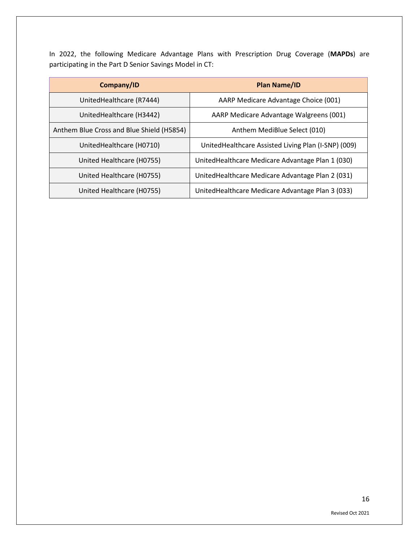In 2022, the following Medicare Advantage Plans with Prescription Drug Coverage (**MAPDs**) are participating in the Part D Senior Savings Model in CT:

| Company/ID                                | <b>Plan Name/ID</b>                                 |
|-------------------------------------------|-----------------------------------------------------|
| UnitedHealthcare (R7444)                  | AARP Medicare Advantage Choice (001)                |
| UnitedHealthcare (H3442)                  | AARP Medicare Advantage Walgreens (001)             |
| Anthem Blue Cross and Blue Shield (H5854) | Anthem MediBlue Select (010)                        |
| UnitedHealthcare (H0710)                  | UnitedHealthcare Assisted Living Plan (I-SNP) (009) |
| United Healthcare (H0755)                 | United Health care Medicare Advantage Plan 1 (030)  |
| United Healthcare (H0755)                 | UnitedHealthcare Medicare Advantage Plan 2 (031)    |
| United Healthcare (H0755)                 | United Health care Medicare Advantage Plan 3 (033)  |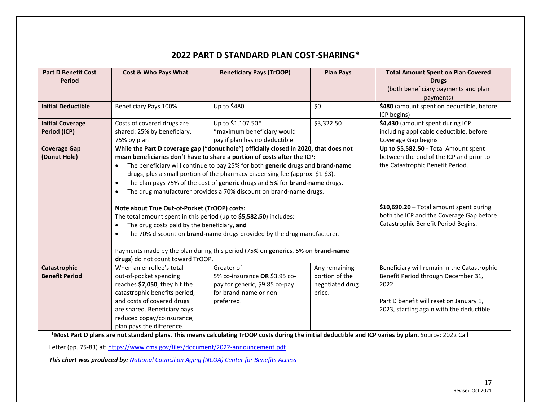#### **2022 PART D STANDARD PLAN COST-SHARING\***

| <b>Part D Benefit Cost</b><br><b>Period</b> | Cost & Who Pays What                                                                                                                                                                                                                                                                                                                                                                                                                                                                                                             | <b>Beneficiary Pays (TrOOP)</b>                                                                                            | <b>Plan Pays</b>                                             | <b>Total Amount Spent on Plan Covered</b><br><b>Drugs</b><br>(both beneficiary payments and plan<br>payments)                                                                       |
|---------------------------------------------|----------------------------------------------------------------------------------------------------------------------------------------------------------------------------------------------------------------------------------------------------------------------------------------------------------------------------------------------------------------------------------------------------------------------------------------------------------------------------------------------------------------------------------|----------------------------------------------------------------------------------------------------------------------------|--------------------------------------------------------------|-------------------------------------------------------------------------------------------------------------------------------------------------------------------------------------|
| <b>Initial Deductible</b>                   | Beneficiary Pays 100%                                                                                                                                                                                                                                                                                                                                                                                                                                                                                                            | Up to \$480                                                                                                                | \$0                                                          | \$480 (amount spent on deductible, before<br>ICP begins)                                                                                                                            |
| <b>Initial Coverage</b><br>Period (ICP)     | Costs of covered drugs are<br>shared: 25% by beneficiary,<br>75% by plan                                                                                                                                                                                                                                                                                                                                                                                                                                                         | Up to \$1,107.50*<br>*maximum beneficiary would<br>pay if plan has no deductible                                           | \$3,322.50                                                   | \$4,430 (amount spent during ICP<br>including applicable deductible, before<br>Coverage Gap begins                                                                                  |
| <b>Coverage Gap</b><br>(Donut Hole)         | While the Part D coverage gap ("donut hole") officially closed in 2020, that does not<br>mean beneficiaries don't have to share a portion of costs after the ICP:<br>The beneficiary will continue to pay 25% for both generic drugs and brand-name<br>$\bullet$<br>drugs, plus a small portion of the pharmacy dispensing fee (approx. \$1-\$3).<br>The plan pays 75% of the cost of generic drugs and 5% for brand-name drugs.<br>$\bullet$<br>The drug manufacturer provides a 70% discount on brand-name drugs.<br>$\bullet$ | Up to \$5,582.50 - Total Amount spent<br>between the end of the ICP and prior to<br>the Catastrophic Benefit Period.       |                                                              |                                                                                                                                                                                     |
|                                             | Note about True Out-of-Pocket (TrOOP) costs:<br>The total amount spent in this period (up to \$5,582.50) includes:<br>The drug costs paid by the beneficiary, and<br>$\bullet$<br>The 70% discount on <b>brand-name</b> drugs provided by the drug manufacturer.<br>$\bullet$<br>Payments made by the plan during this period (75% on generics, 5% on brand-name<br>drugs) do not count toward TrOOP.                                                                                                                            | \$10,690.20 - Total amount spent during<br>both the ICP and the Coverage Gap before<br>Catastrophic Benefit Period Begins. |                                                              |                                                                                                                                                                                     |
| Catastrophic<br><b>Benefit Period</b>       | When an enrollee's total<br>out-of-pocket spending<br>reaches \$7,050, they hit the<br>catastrophic benefits period,<br>and costs of covered drugs<br>are shared. Beneficiary pays<br>reduced copay/coinsurance;<br>plan pays the difference.                                                                                                                                                                                                                                                                                    | Greater of:<br>5% co-insurance OR \$3.95 co-<br>pay for generic, \$9.85 co-pay<br>for brand-name or non-<br>preferred.     | Any remaining<br>portion of the<br>negotiated drug<br>price. | Beneficiary will remain in the Catastrophic<br>Benefit Period through December 31,<br>2022.<br>Part D benefit will reset on January 1,<br>2023, starting again with the deductible. |

**\*Most Part D plans are not standard plans. This means calculating TrOOP costs during the initial deductible and ICP varies by plan.** Source: 2022 Call

Letter (pp. 75-83) at[: https://www.cms.gov/files/document/2022-announcement.pdf](https://www.cms.gov/files/document/2022-announcement.pdf)

*This chart was produced by: [National Council on Aging \(NCOA\) Center for Benefits Access](https://gcc02.safelinks.protection.outlook.com/?url=https%3A%2F%2Fassets-us-01.kc-usercontent.com%2Fffacfe7d-10b6-0083-2632-604077fd4eca%2F7abecf63-916a-4c03-97fc-9d2c2c9620f6%2Fpart-d-cost-sharing-chart-2022.pdf&data=04%7C01%7CMelanie.Lambert%40ct.gov%7C4277d3e23620478ae2b508d98a7dd6fa%7C118b7cfaa3dd48b9b02631ff69bb738b%7C0%7C0%7C637693095364715046%7CUnknown%7CTWFpbGZsb3d8eyJWIjoiMC4wLjAwMDAiLCJQIjoiV2luMzIiLCJBTiI6Ik1haWwiLCJXVCI6Mn0%3D%7C1000&sdata=9Y0cDuXRSOLS5W6e%2BCUlfz7sDhkdTg%2FhfFDukAgRd98%3D&reserved=0)*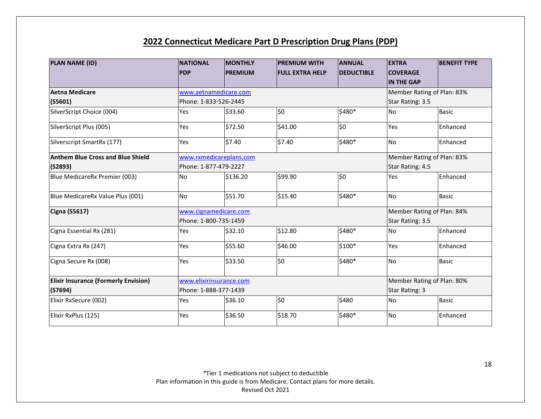## **2022 Connecticut Medicare Part D Prescription Drug Plans (PDP)**

| PLAN NAME (ID)                              | <b>NATIONAL</b>         | <b>MONTHLY</b>          | <b>PREMIUM WITH</b>        | <b>ANNUAL</b>     | <b>EXTRA</b>               | <b>BENEFIT TYPE</b> |  |
|---------------------------------------------|-------------------------|-------------------------|----------------------------|-------------------|----------------------------|---------------------|--|
|                                             | <b>PDP</b>              | <b>PREMIUM</b>          | <b>FULL EXTRA HELP</b>     | <b>DEDUCTIBLE</b> | <b>COVERAGE</b>            |                     |  |
|                                             |                         |                         |                            |                   | <b>IN THE GAP</b>          |                     |  |
| Aetna Medicare                              | www.aetnamedicare.com   |                         |                            |                   | Member Rating of Plan: 83% |                     |  |
| $($ S5601 $)$                               | Phone: 1-833-526-2445   |                         |                            |                   | Star Rating: 3.5           |                     |  |
| SilverScript Choice (004)                   | Yes                     | \$33.60                 | \$0                        | \$480*            | <b>No</b>                  | <b>Basic</b>        |  |
| SilverScript Plus (005)                     | Yes                     | \$72.50                 | \$41.00                    | \$0               | Yes                        | Enhanced            |  |
| Silverscript SmartRx (177)                  | Yes                     | \$7.40                  | \$7.40                     | \$480*            | <b>No</b>                  | Enhanced            |  |
| <b>Anthem Blue Cross and Blue Shield</b>    |                         | www.rxmedicareplans.com |                            |                   | Member Rating of Plan: 83% |                     |  |
| (S2893)                                     | Phone: 1-877-479-2227   |                         |                            |                   | Star Rating: 4.5           |                     |  |
| Blue MedicareRx Premier (003)               | <b>No</b>               | \$136.20                | \$99.90                    | \$0               | Yes                        | Enhanced            |  |
| Blue MedicareRx Value Plus (001)            | No                      | \$51.70                 | \$15.40                    | \$480*            | No                         | <b>Basic</b>        |  |
| <b>Cigna (S5617)</b>                        | www.cignamedicare.com   |                         | Member Rating of Plan: 84% |                   |                            |                     |  |
|                                             | Phone: 1-800-735-1459   |                         | Star Rating: 3.5           |                   |                            |                     |  |
| Cigna Essential Rx (281)                    | Yes                     | \$32.10                 | \$12.80                    | \$480*            | No                         | Enhanced            |  |
| Cigna Extra Rx (247)                        | Yes                     | \$55.60                 | \$46.00                    | \$100*            | Yes                        | Enhanced            |  |
| Cigna Secure Rx (008)                       | <b>Yes</b>              | \$33.50                 | $\overline{\mathsf{S}}$    | \$480*            | <b>No</b>                  | <b>Basic</b>        |  |
| <b>Elixir Insurance (Formerly Envision)</b> | www.elixirinsurance.com |                         | Member Rating of Plan: 80% |                   |                            |                     |  |
| (S7694)                                     | Phone: 1-888-377-1439   |                         |                            |                   | Star Rating: 3             |                     |  |
| Elixir RxSecure (002)                       | Yes                     | \$36.10                 | \$0                        | \$480             | No                         | <b>Basic</b>        |  |
| Elixir RxPlus (125)                         | Yes                     | \$36.50                 | \$18.70                    | \$480*            | <b>No</b>                  | Enhanced            |  |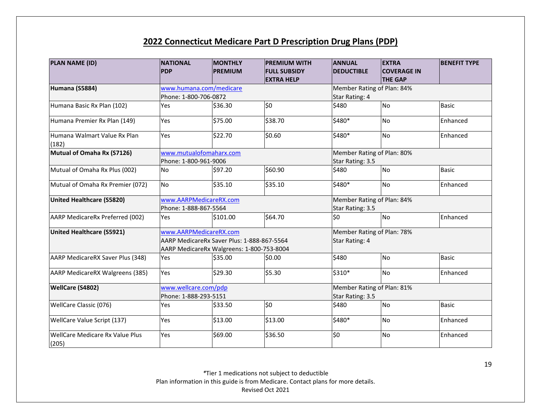## **2022 Connecticut Medicare Part D Prescription Drug Plans (PDP)**

| PLAN NAME (ID)                                  | <b>NATIONAL</b>         | <b>MONTHLY</b>                             | <b>PREMIUM WITH</b> | <b>ANNUAL</b>              | <b>EXTRA</b>       | <b>BENEFIT TYPE</b> |  |
|-------------------------------------------------|-------------------------|--------------------------------------------|---------------------|----------------------------|--------------------|---------------------|--|
|                                                 | <b>PDP</b>              | <b>PREMIUM</b>                             | <b>FULL SUBSIDY</b> | <b>DEDUCTIBLE</b>          | <b>COVERAGE IN</b> |                     |  |
|                                                 |                         |                                            | <b>EXTRA HELP</b>   |                            | <b>THE GAP</b>     |                     |  |
| Humana (S5884)                                  |                         | www.humana.com/medicare                    |                     | Member Rating of Plan: 84% |                    |                     |  |
|                                                 | Phone: 1-800-706-0872   |                                            |                     | <b>Star Rating: 4</b>      |                    |                     |  |
| Humana Basic Rx Plan (102)                      | Yes                     | \$36.30                                    | \$0                 | \$480                      | No                 | <b>Basic</b>        |  |
| Humana Premier Rx Plan (149)                    | Yes                     | \$75.00                                    | \$38.70             | \$480*                     | <b>No</b>          | Enhanced            |  |
| Humana Walmart Value Rx Plan<br>(182)           | Yes                     | \$22.70                                    | \$0.60              | \$480*                     | <b>No</b>          | Enhanced            |  |
| Mutual of Omaha Rx (S7126)                      | www.mutualofomaharx.com |                                            |                     | Member Rating of Plan: 80% |                    |                     |  |
|                                                 | Phone: 1-800-961-9006   |                                            |                     | Star Rating: 3.5           |                    |                     |  |
| Mutual of Omaha Rx Plus (002)                   | <b>No</b>               | \$97.20                                    | \$60.90             | \$480                      | No                 | <b>Basic</b>        |  |
| Mutual of Omaha Rx Premier (072)                | No                      | \$35.10                                    | \$35.10             | \$480*                     | <b>No</b>          | Enhanced            |  |
| <b>United Healthcare (S5820)</b>                | www.AARPMedicareRX.com  |                                            |                     | Member Rating of Plan: 84% |                    |                     |  |
|                                                 | Phone: 1-888-867-5564   |                                            |                     | Star Rating: 3.5           |                    |                     |  |
| AARP MedicareRx Preferred (002)                 | Yes                     | \$101.00                                   | \$64.70             | \$0                        | <b>No</b>          | Enhanced            |  |
| United Healthcare (S5921)                       | www.AARPMedicareRX.com  |                                            |                     | Member Rating of Plan: 78% |                    |                     |  |
|                                                 |                         | AARP MedicareRx Saver Plus: 1-888-867-5564 |                     | Star Rating: 4             |                    |                     |  |
|                                                 |                         | AARP MedicareRx Walgreens: 1-800-753-8004  |                     |                            |                    |                     |  |
| AARP MedicareRX Saver Plus (348)                | Yes                     | \$35.00                                    | \$0.00              | \$480                      | <b>No</b>          | <b>Basic</b>        |  |
| AARP MedicareRX Walgreens (385)                 | Yes                     | \$29.30                                    | \$5.30              | \$310*                     | <b>No</b>          | Enhanced            |  |
| <b>WellCare (S4802)</b>                         | www.wellcare.com/pdp    |                                            |                     | Member Rating of Plan: 81% |                    |                     |  |
|                                                 | Phone: 1-888-293-5151   |                                            |                     | Star Rating: 3.5           |                    |                     |  |
| WellCare Classic (076)                          | Yes                     | \$33.50                                    | \$0                 | \$480                      | <b>No</b>          | <b>Basic</b>        |  |
| WellCare Value Script (137)                     | Yes                     | \$13.00                                    | \$13.00             | \$480*                     | No                 | Enhanced            |  |
| <b>WellCare Medicare Rx Value Plus</b><br>(205) | Yes                     | \$69.00                                    | \$36.50             | \$0                        | <b>No</b>          | Enhanced            |  |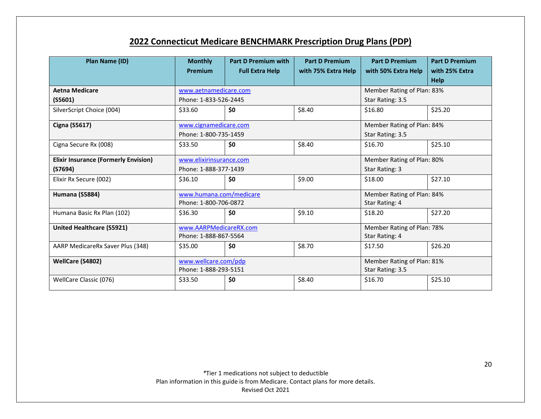## **2022 Connecticut Medicare BENCHMARK Prescription Drug Plans (PDP)**

| Plan Name (ID)                              | <b>Monthly</b>          | <b>Part D Premium with</b> | <b>Part D Premium</b> | <b>Part D Premium</b>      | <b>Part D Premium</b>      |  |
|---------------------------------------------|-------------------------|----------------------------|-----------------------|----------------------------|----------------------------|--|
|                                             | <b>Premium</b>          | <b>Full Extra Help</b>     | with 75% Extra Help   | with 50% Extra Help        | with 25% Extra             |  |
|                                             |                         |                            |                       |                            | <b>Help</b>                |  |
| <b>Aetna Medicare</b>                       | www.aetnamedicare.com   |                            |                       | Member Rating of Plan: 83% |                            |  |
| $($ S5601 $)$                               | Phone: 1-833-526-2445   |                            |                       | Star Rating: 3.5           |                            |  |
| SilverScript Choice (004)                   | \$33.60                 | \$0                        | \$8.40                | \$16.80                    | \$25.20                    |  |
| <b>Cigna (S5617)</b>                        | www.cignamedicare.com   |                            |                       | Member Rating of Plan: 84% |                            |  |
|                                             | Phone: 1-800-735-1459   |                            |                       | Star Rating: 3.5           |                            |  |
| Cigna Secure Rx (008)                       | \$33.50                 | \$0                        | \$8.40                | \$16.70                    | \$25.10                    |  |
| <b>Elixir Insurance (Formerly Envision)</b> |                         | www.elixirinsurance.com    |                       |                            | Member Rating of Plan: 80% |  |
| (57694)                                     | Phone: 1-888-377-1439   |                            |                       | Star Rating: 3             |                            |  |
| Elixir Rx Secure (002)                      | \$36.10                 | \$0                        | \$9.00                | \$18.00                    | \$27.10                    |  |
| Humana (S5884)                              | www.humana.com/medicare |                            |                       | Member Rating of Plan: 84% |                            |  |
|                                             | Phone: 1-800-706-0872   |                            |                       | Star Rating: 4             |                            |  |
| Humana Basic Rx Plan (102)                  | \$36.30                 | \$0                        | \$9.10                | \$18.20                    | \$27.20                    |  |
| <b>United Healthcare (S5921)</b>            | www.AARPMedicareRX.com  |                            |                       | Member Rating of Plan: 78% |                            |  |
|                                             | Phone: 1-888-867-5564   |                            |                       | Star Rating: 4             |                            |  |
| AARP MedicareRx Saver Plus (348)            | \$35.00                 | \$0                        | \$8.70                | \$17.50                    | \$26.20                    |  |
| WellCare (S4802)                            | www.wellcare.com/pdp    |                            |                       | Member Rating of Plan: 81% |                            |  |
|                                             | Phone: 1-888-293-5151   |                            |                       | Star Rating: 3.5           |                            |  |
| WellCare Classic (076)                      | \$33.50                 | \$0                        | \$8.40                | \$16.70                    | \$25.10                    |  |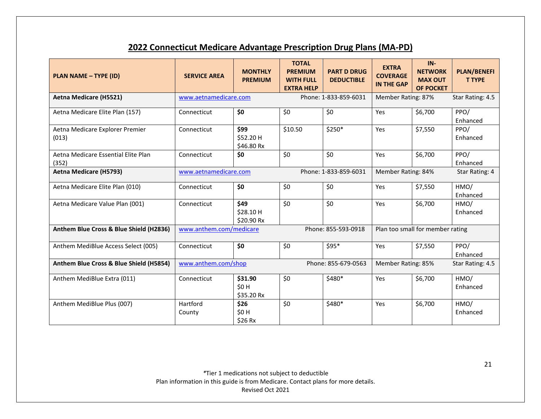| <b>PLAN NAME - TYPE (ID)</b>                 | <b>SERVICE AREA</b>                        | <b>MONTHLY</b><br><b>PREMIUM</b>               | <b>TOTAL</b><br><b>PREMIUM</b><br><b>WITH FULL</b><br><b>EXTRA HELP</b> | <b>PART D DRUG</b><br><b>DEDUCTIBLE</b> | <b>EXTRA</b><br><b>COVERAGE</b><br><b>IN THE GAP</b> | $IN -$<br><b>NETWORK</b><br><b>MAX OUT</b><br><b>OF POCKET</b> | <b>PLAN/BENEFI</b><br><b>T TYPE</b> |
|----------------------------------------------|--------------------------------------------|------------------------------------------------|-------------------------------------------------------------------------|-----------------------------------------|------------------------------------------------------|----------------------------------------------------------------|-------------------------------------|
| <b>Aetna Medicare (H5521)</b>                | www.aetnamedicare.com                      |                                                |                                                                         | Phone: 1-833-859-6031                   | Member Rating: 87%                                   |                                                                | Star Rating: 4.5                    |
| Aetna Medicare Elite Plan (157)              | Connecticut                                | \$0                                            | \$0                                                                     | \$0                                     | Yes                                                  | \$6,700                                                        | PPO/<br>Enhanced                    |
| Aetna Medicare Explorer Premier<br>(013)     | Connecticut                                | \$99<br>\$52.20 H<br>\$46.80 Rx                | \$10.50                                                                 | \$250*                                  | Yes                                                  | \$7,550                                                        | PPO/<br>Enhanced                    |
| Aetna Medicare Essential Elite Plan<br>(352) | Connecticut                                | \$0                                            | \$0                                                                     | \$0                                     | Yes                                                  | \$6,700                                                        | PPO/<br>Enhanced                    |
| Aetna Medicare (H5793)                       |                                            | www.aetnamedicare.com<br>Phone: 1-833-859-6031 |                                                                         | Member Rating: 84%                      |                                                      | Star Rating: 4                                                 |                                     |
| Aetna Medicare Elite Plan (010)              | Connecticut                                | \$0                                            | \$0                                                                     | \$0                                     | Yes                                                  | \$7,550                                                        | HMO/<br>Enhanced                    |
| Aetna Medicare Value Plan (001)              | Connecticut                                | \$49<br>\$28.10 H<br>\$20.90 Rx                | \$0                                                                     | \$0                                     | Yes                                                  | \$6,700                                                        | HMO/<br>Enhanced                    |
| Anthem Blue Cross & Blue Shield (H2836)      | www.anthem.com/medicare                    |                                                |                                                                         | Phone: 855-593-0918                     | Plan too small for member rating                     |                                                                |                                     |
| Anthem MediBlue Access Select (005)          | Connecticut                                | \$0                                            | \$0                                                                     | $$95*$                                  | Yes                                                  | \$7,550                                                        | PPO/<br>Enhanced                    |
| Anthem Blue Cross & Blue Shield (H5854)      | www.anthem.com/shop<br>Phone: 855-679-0563 |                                                | Member Rating: 85%                                                      |                                         | Star Rating: 4.5                                     |                                                                |                                     |
| Anthem MediBlue Extra (011)                  | Connecticut                                | \$31.90<br>\$0 H<br>\$35.20 Rx                 | \$0                                                                     | \$480*                                  | Yes                                                  | \$6,700                                                        | HMO/<br>Enhanced                    |
| Anthem MediBlue Plus (007)                   | Hartford<br>County                         | \$26<br>\$0 H<br>\$26 Rx                       | \$0                                                                     | \$480*                                  | Yes                                                  | \$6,700                                                        | HMO/<br>Enhanced                    |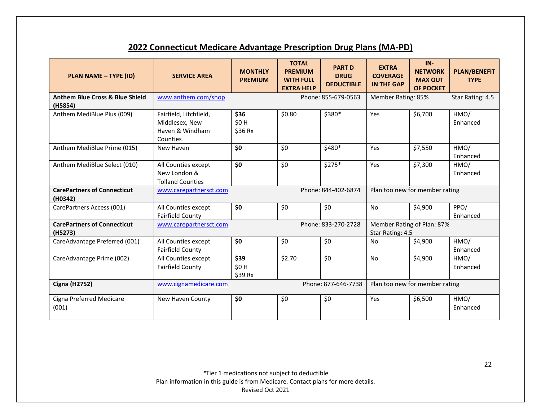| 2022 Connecticut Medicare Advantage Prescription Drug Plans (MA-PD) |
|---------------------------------------------------------------------|
|---------------------------------------------------------------------|

| <b>PLAN NAME - TYPE (ID)</b>               | <b>SERVICE AREA</b>     | <b>MONTHLY</b><br><b>PREMIUM</b> | <b>TOTAL</b><br><b>PREMIUM</b><br><b>WITH FULL</b><br><b>EXTRA HELP</b> | <b>PART D</b><br><b>DRUG</b><br><b>DEDUCTIBLE</b> | <b>EXTRA</b><br><b>COVERAGE</b><br><b>IN THE GAP</b> | $IN -$<br><b>NETWORK</b><br><b>MAX OUT</b><br><b>OF POCKET</b> | <b>PLAN/BENEFIT</b><br><b>TYPE</b> |
|--------------------------------------------|-------------------------|----------------------------------|-------------------------------------------------------------------------|---------------------------------------------------|------------------------------------------------------|----------------------------------------------------------------|------------------------------------|
| <b>Anthem Blue Cross &amp; Blue Shield</b> | www.anthem.com/shop     |                                  |                                                                         | Phone: 855-679-0563                               | Member Rating: 85%                                   |                                                                | Star Rating: 4.5                   |
| (H5854)                                    |                         |                                  |                                                                         |                                                   |                                                      |                                                                |                                    |
| Anthem MediBlue Plus (009)                 | Fairfield, Litchfield,  | \$36                             | \$0.80                                                                  | \$380*                                            | Yes                                                  | \$6,700                                                        | HMO/                               |
|                                            | Middlesex, New          | \$0 H                            |                                                                         |                                                   |                                                      |                                                                | Enhanced                           |
|                                            | Haven & Windham         | \$36 Rx                          |                                                                         |                                                   |                                                      |                                                                |                                    |
|                                            | Counties                |                                  |                                                                         |                                                   |                                                      |                                                                |                                    |
| Anthem MediBlue Prime (015)                | New Haven               | \$0                              | \$0                                                                     | \$480*                                            | Yes                                                  | \$7,550                                                        | HMO/                               |
|                                            |                         |                                  |                                                                         |                                                   |                                                      |                                                                | Enhanced                           |
| Anthem MediBlue Select (010)               | All Counties except     | \$0                              | \$0                                                                     | $$275*$                                           | Yes                                                  | \$7,300                                                        | HMO/                               |
|                                            | New London &            |                                  |                                                                         |                                                   |                                                      |                                                                | Enhanced                           |
|                                            | <b>Tolland Counties</b> |                                  |                                                                         |                                                   |                                                      |                                                                |                                    |
| <b>CarePartners of Connecticut</b>         | www.carepartnersct.com  |                                  |                                                                         | Phone: 844-402-6874                               |                                                      | Plan too new for member rating                                 |                                    |
| (H0342)                                    |                         |                                  |                                                                         |                                                   |                                                      |                                                                |                                    |
| CarePartners Access (001)                  | All Counties except     | \$0                              | \$0                                                                     | \$0                                               | <b>No</b>                                            | \$4,900                                                        | PPO/                               |
|                                            | <b>Fairfield County</b> |                                  |                                                                         |                                                   |                                                      |                                                                | Enhanced                           |
| <b>CarePartners of Connecticut</b>         | www.carepartnersct.com  |                                  |                                                                         | Phone: 833-270-2728                               | Member Rating of Plan: 87%                           |                                                                |                                    |
| (H5273)                                    |                         |                                  |                                                                         |                                                   | Star Rating: 4.5                                     |                                                                |                                    |
| CareAdvantage Preferred (001)              | All Counties except     | \$0                              | \$0                                                                     | \$0                                               | <b>No</b>                                            | \$4,900                                                        | HMO/                               |
|                                            | <b>Fairfield County</b> |                                  |                                                                         |                                                   |                                                      |                                                                | Enhanced                           |
| CareAdvantage Prime (002)                  | All Counties except     | \$39                             | \$2.70                                                                  | \$0                                               | <b>No</b>                                            | \$4,900                                                        | HMO/                               |
|                                            | <b>Fairfield County</b> | \$0 H                            |                                                                         |                                                   |                                                      |                                                                | Enhanced                           |
|                                            |                         | \$39 Rx                          |                                                                         |                                                   |                                                      |                                                                |                                    |
| <b>Cigna (H2752)</b>                       | www.cignamedicare.com   |                                  |                                                                         | Phone: 877-646-7738                               | Plan too new for member rating                       |                                                                |                                    |
| Cigna Preferred Medicare                   | New Haven County        | \$0                              | \$0                                                                     | \$0                                               | Yes                                                  | \$6,500                                                        | HMO/                               |
| (001)                                      |                         |                                  |                                                                         |                                                   |                                                      |                                                                | Enhanced                           |
|                                            |                         |                                  |                                                                         |                                                   |                                                      |                                                                |                                    |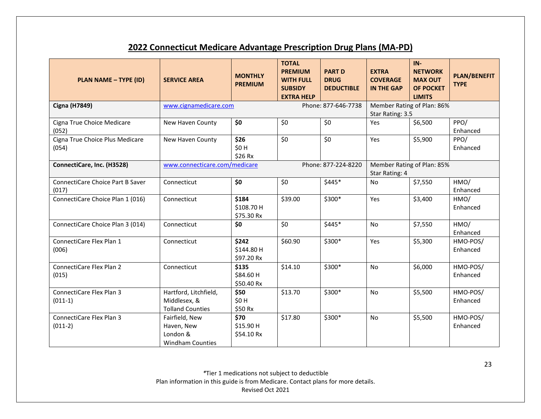| <b>PLAN NAME - TYPE (ID)</b>              | <b>SERVICE AREA</b>                                                 | <b>MONTHLY</b><br><b>PREMIUM</b>                     | <b>TOTAL</b><br><b>PREMIUM</b><br><b>WITH FULL</b><br><b>SUBSIDY</b><br><b>EXTRA HELP</b> | <b>PART D</b><br><b>DRUG</b><br><b>DEDUCTIBLE</b> | <b>EXTRA</b><br><b>COVERAGE</b><br><b>IN THE GAP</b> | $IN -$<br><b>NETWORK</b><br><b>MAX OUT</b><br><b>OF POCKET</b><br><b>LIMITS</b> | <b>PLAN/BENEFIT</b><br><b>TYPE</b> |  |  |
|-------------------------------------------|---------------------------------------------------------------------|------------------------------------------------------|-------------------------------------------------------------------------------------------|---------------------------------------------------|------------------------------------------------------|---------------------------------------------------------------------------------|------------------------------------|--|--|
| <b>Cigna (H7849)</b>                      | www.cignamedicare.com                                               |                                                      |                                                                                           | Phone: 877-646-7738                               | Star Rating: 3.5                                     | Member Rating of Plan: 86%                                                      |                                    |  |  |
| Cigna True Choice Medicare<br>(052)       | New Haven County                                                    | \$0                                                  | \$0                                                                                       | \$0                                               | Yes                                                  | \$6,500                                                                         | PPO/<br>Enhanced                   |  |  |
| Cigna True Choice Plus Medicare<br>(054)  | New Haven County                                                    | \$26<br>\$0 H<br>\$26 Rx                             | \$0                                                                                       | \$0                                               | Yes                                                  | \$5,900                                                                         | PPO/<br>Enhanced                   |  |  |
| ConnectiCare, Inc. (H3528)                |                                                                     | www.connecticare.com/medicare<br>Phone: 877-224-8220 |                                                                                           |                                                   | Member Rating of Plan: 85%<br>Star Rating: 4         |                                                                                 |                                    |  |  |
| ConnectiCare Choice Part B Saver<br>(017) | Connecticut                                                         | \$0                                                  | \$0                                                                                       | $$445*$                                           | No                                                   | \$7,550                                                                         | HMO/<br>Enhanced                   |  |  |
| ConnectiCare Choice Plan 1 (016)          | Connecticut                                                         | \$184<br>\$108.70 H<br>\$75.30 Rx                    | \$39.00                                                                                   | \$300*                                            | Yes                                                  | \$3,400                                                                         | HMO/<br>Enhanced                   |  |  |
| ConnectiCare Choice Plan 3 (014)          | Connecticut                                                         | \$0                                                  | \$0                                                                                       | $$445*$                                           | No                                                   | \$7,550                                                                         | HMO/<br>Enhanced                   |  |  |
| ConnectiCare Flex Plan 1<br>(006)         | Connecticut                                                         | \$242<br>\$144.80 H<br>\$97.20 Rx                    | \$60.90                                                                                   | \$300*                                            | Yes                                                  | \$5,300                                                                         | HMO-POS/<br>Enhanced               |  |  |
| ConnectiCare Flex Plan 2<br>(015)         | Connecticut                                                         | \$135<br>\$84.60 H<br>\$50.40 Rx                     | \$14.10                                                                                   | \$300*                                            | <b>No</b>                                            | \$6,000                                                                         | HMO-POS/<br>Enhanced               |  |  |
| ConnectiCare Flex Plan 3<br>$(011-1)$     | Hartford, Litchfield,<br>Middlesex, &<br><b>Tolland Counties</b>    | \$50<br>\$0 H<br>\$50 Rx                             | \$13.70                                                                                   | \$300*                                            | <b>No</b>                                            | \$5,500                                                                         | HMO-POS/<br>Enhanced               |  |  |
| ConnectiCare Flex Plan 3<br>$(011-2)$     | Fairfield, New<br>Haven, New<br>London &<br><b>Windham Counties</b> | \$70<br>\$15.90 H<br>\$54.10 Rx                      | \$17.80                                                                                   | \$300*                                            | <b>No</b>                                            | \$5,500                                                                         | HMO-POS/<br>Enhanced               |  |  |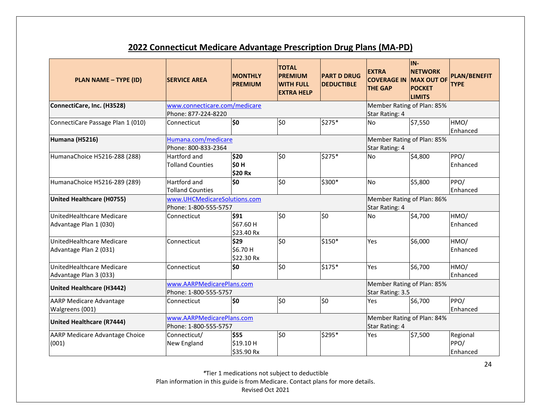| <b>PLAN NAME - TYPE (ID)</b>          | <b>SERVICE AREA</b>       | <b>MONTHLY</b><br><b>PREMIUM</b> | <b>TOTAL</b><br><b>PREMIUM</b><br><b>WITH FULL</b><br><b>EXTRA HELP</b> | <b>PART D DRUG</b><br><b>DEDUCTIBLE</b> | <b>EXTRA</b><br><b>COVERAGE IN</b><br><b>THE GAP</b> | IN-<br><b>NETWORK</b><br><b>MAX OUT OF</b><br><b>POCKET</b><br><b>LIMITS</b> | <b>PLAN/BENEFIT</b><br><b>TYPE</b> |  |  |  |
|---------------------------------------|---------------------------|----------------------------------|-------------------------------------------------------------------------|-----------------------------------------|------------------------------------------------------|------------------------------------------------------------------------------|------------------------------------|--|--|--|
| ConnectiCare, Inc. (H3528)            |                           | www.connecticare.com/medicare    |                                                                         |                                         |                                                      |                                                                              | Member Rating of Plan: 85%         |  |  |  |
|                                       | Phone: 877-224-8220       |                                  |                                                                         |                                         | Star Rating: 4                                       |                                                                              |                                    |  |  |  |
| ConnectiCare Passage Plan 1 (010)     | Connecticut               | \$0                              | \$0                                                                     | \$275*                                  | No                                                   | \$7,550                                                                      | HMO/<br>Enhanced                   |  |  |  |
| Humana (H5216)                        | Humana.com/medicare       |                                  |                                                                         |                                         |                                                      | Member Rating of Plan: 85%                                                   |                                    |  |  |  |
|                                       |                           | Phone: 800-833-2364              |                                                                         |                                         |                                                      |                                                                              |                                    |  |  |  |
| HumanaChoice H5216-288 (288)          | Hartford and              | \$20                             | \$0                                                                     | \$275*                                  | <b>No</b>                                            | \$4,800                                                                      | PPO/                               |  |  |  |
|                                       | <b>Tolland Counties</b>   | <b>SO H</b><br><b>\$20 Rx</b>    |                                                                         |                                         |                                                      |                                                                              | Enhanced                           |  |  |  |
| HumanaChoice H5216-289 (289)          | Hartford and              | <b>SO</b>                        | \$0                                                                     | \$300*                                  | No                                                   | \$5,800                                                                      | PPO/                               |  |  |  |
|                                       | <b>Tolland Counties</b>   |                                  |                                                                         |                                         |                                                      |                                                                              | Enhanced                           |  |  |  |
| United Healthcare (H0755)             |                           | www.UHCMedicareSolutions.com     |                                                                         |                                         |                                                      | Member Rating of Plan: 86%                                                   |                                    |  |  |  |
|                                       |                           | Phone: 1-800-555-5757            |                                                                         |                                         |                                                      | Star Rating: 4                                                               |                                    |  |  |  |
| UnitedHealthcare Medicare             | Connecticut               | \$91                             | \$0                                                                     | \$0                                     | <b>No</b>                                            | \$4,700                                                                      | HMO/                               |  |  |  |
| Advantage Plan 1 (030)                |                           | \$67.60 H<br>\$23.40 Rx          |                                                                         |                                         |                                                      |                                                                              | Enhanced                           |  |  |  |
| UnitedHealthcare Medicare             | Connecticut               | \$29                             | \$0                                                                     | \$150*                                  | Yes                                                  | \$6,000                                                                      | HMO/                               |  |  |  |
| Advantage Plan 2 (031)                |                           | S6.70 H<br>\$22.30 Rx            |                                                                         |                                         |                                                      |                                                                              | Enhanced                           |  |  |  |
| UnitedHealthcare Medicare             | Connecticut               | \$0                              | \$0                                                                     | $$175*$                                 | Yes                                                  | \$6,700                                                                      | HMO/                               |  |  |  |
| Advantage Plan 3 (033)                |                           |                                  |                                                                         |                                         |                                                      |                                                                              | Enhanced                           |  |  |  |
|                                       | www.AARPMedicarePlans.com | Member Rating of Plan: 85%       |                                                                         |                                         |                                                      |                                                                              |                                    |  |  |  |
| United Healthcare (H3442)             | Phone: 1-800-555-5757     |                                  |                                                                         |                                         | Star Rating: 3.5                                     |                                                                              |                                    |  |  |  |
| <b>AARP Medicare Advantage</b>        | Connecticut               | <b>SO</b>                        | \$0                                                                     | \$0                                     | Yes                                                  | \$6,700                                                                      | PPO/                               |  |  |  |
| Walgreens (001)                       |                           |                                  |                                                                         |                                         |                                                      |                                                                              | Enhanced                           |  |  |  |
| United Healthcare (R7444)             | www.AARPMedicarePlans.com |                                  |                                                                         |                                         | Member Rating of Plan: 84%                           |                                                                              |                                    |  |  |  |
|                                       |                           | Phone: 1-800-555-5757            |                                                                         |                                         |                                                      | Star Rating: 4                                                               |                                    |  |  |  |
| <b>AARP Medicare Advantage Choice</b> | Connecticut/              | \$55                             | \$0                                                                     | \$295*                                  | Yes                                                  | \$7,500                                                                      | Regional                           |  |  |  |
| (001)                                 | New England               | \$19.10 H                        |                                                                         |                                         |                                                      |                                                                              | PPO/                               |  |  |  |
|                                       |                           | \$35.90 Rx                       |                                                                         |                                         |                                                      |                                                                              | Enhanced                           |  |  |  |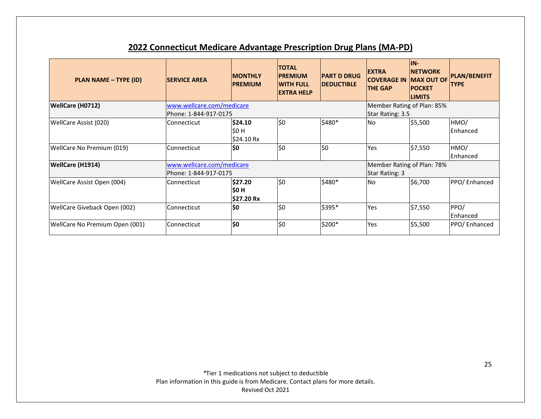| PLAN NAME - TYPE (ID)          | <b>SERVICE AREA</b>                                 | <b>MONTHLY</b><br><b>PREMIUM</b>     | <b>TOTAL</b><br><b>PREMIUM</b><br><b>WITH FULL</b><br><b>EXTRA HELP</b> | <b>PART D DRUG</b><br><b>DEDUCTIBLE</b>      | <b>EXTRA</b><br><b>COVERAGE IN</b><br><b>THE GAP</b> | IIN-<br><b>NETWORK</b><br><b>MAX OUT OF</b><br><b>POCKET</b><br><b>LIMITS</b> | <b>PLAN/BENEFIT</b><br><b>TYPE</b> |  |
|--------------------------------|-----------------------------------------------------|--------------------------------------|-------------------------------------------------------------------------|----------------------------------------------|------------------------------------------------------|-------------------------------------------------------------------------------|------------------------------------|--|
| <b>WellCare (H0712)</b>        | www.wellcare.com/medicare                           |                                      |                                                                         |                                              | Member Rating of Plan: 85%                           |                                                                               |                                    |  |
|                                |                                                     | lPhone: 1-844-917-0175               |                                                                         |                                              |                                                      | Star Rating: 3.5                                                              |                                    |  |
| WellCare Assist (020)          | Connecticut                                         | \$24.10<br><b>SO H</b><br>\$24.10 Rx | \$0                                                                     | \$480*                                       | No                                                   | \$5,500                                                                       | HMO/<br><b>IEnhanced</b>           |  |
| WellCare No Premium (019)      | Connecticut                                         | \$0                                  | \$0                                                                     | \$0                                          | Yes                                                  | \$7,550                                                                       | HMO/<br><b>IEnhanced</b>           |  |
| <b>WellCare (H1914)</b>        | www.wellcare.com/medicare<br>lPhone: 1-844-917-0175 |                                      |                                                                         | Member Rating of Plan: 78%<br>Star Rating: 3 |                                                      |                                                                               |                                    |  |
| WellCare Assist Open (004)     | Connecticut                                         | \$27.20<br>ISO H<br>\$27.20 Rx       | \$0                                                                     | \$480*                                       | No                                                   | \$6,700                                                                       | PPO/Enhanced                       |  |
| WellCare Giveback Open (002)   | Connecticut                                         | \$0                                  | 50                                                                      | \$395*                                       | Yes                                                  | \$7,550                                                                       | PPO/<br><b>IEnhanced</b>           |  |
| WellCare No Premium Open (001) | Connecticut                                         | \$0                                  | \$0                                                                     | \$200*                                       | Yes                                                  | \$5,500                                                                       | PPO/Enhanced                       |  |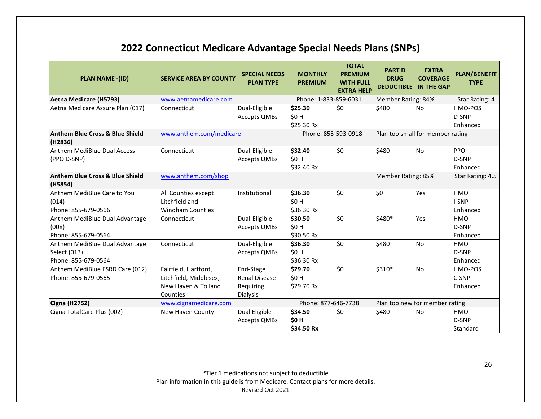## **2022 Connecticut Medicare Advantage Special Needs Plans (SNPs)**

| PLAN NAME -(ID)                                       | <b>SERVICE AREA BY COUNTY</b>                | <b>SPECIAL NEEDS</b><br><b>PLAN TYPE</b> | <b>MONTHLY</b><br><b>PREMIUM</b> | <b>TOTAL</b><br><b>PREMIUM</b><br><b>WITH FULL</b><br><b>EXTRA HELP</b> | <b>PART D</b><br><b>DRUG</b><br><b>DEDUCTIBLE</b> | <b>EXTRA</b><br><b>COVERAGE</b><br><b>IN THE GAP</b> | <b>PLAN/BENEFIT</b><br><b>TYPE</b> |
|-------------------------------------------------------|----------------------------------------------|------------------------------------------|----------------------------------|-------------------------------------------------------------------------|---------------------------------------------------|------------------------------------------------------|------------------------------------|
| Aetna Medicare (H5793)                                | www.aetnamedicare.com                        |                                          | Phone: 1-833-859-6031            |                                                                         | Member Rating: 84%                                |                                                      | Star Rating: 4                     |
| Aetna Medicare Assure Plan (017)                      | Connecticut                                  | Dual-Eligible                            | \$25.30<br><b>SO H</b>           | \$0                                                                     | \$480                                             | No                                                   | HMO-POS<br>D-SNP                   |
|                                                       |                                              | <b>Accepts QMBs</b>                      | \$25.30 Rx                       |                                                                         |                                                   |                                                      | lEnhanced                          |
| <b>Anthem Blue Cross &amp; Blue Shield</b><br>(H2836) | www.anthem.com/medicare                      |                                          | Phone: 855-593-0918              |                                                                         | Plan too small for member rating                  |                                                      |                                    |
| <b>Anthem MediBlue Dual Access</b>                    | Connecticut                                  | Dual-Eligible                            | \$32.40                          | \$0                                                                     | \$480                                             | <b>No</b>                                            | <b>PPO</b>                         |
| (PPO D-SNP)                                           |                                              | <b>Accepts QMBs</b>                      | \$0 H                            |                                                                         |                                                   |                                                      | D-SNP                              |
|                                                       |                                              |                                          | \$32.40 Rx                       |                                                                         |                                                   |                                                      | Enhanced                           |
| <b>Anthem Blue Cross &amp; Blue Shield</b><br>(H5854) | www.anthem.com/shop                          |                                          |                                  |                                                                         | Member Rating: 85%                                |                                                      | Star Rating: 4.5                   |
| Anthem MediBlue Care to You                           | All Counties except                          | Institutional                            | \$36.30                          | \$0                                                                     | \$0                                               | Yes                                                  | <b>HMO</b>                         |
| (014)                                                 | Litchfield and                               |                                          | <b>SO H</b>                      |                                                                         |                                                   |                                                      | I-SNP                              |
| Phone: 855-679-0566                                   | <b>Windham Counties</b>                      |                                          | \$36.30 Rx                       |                                                                         |                                                   |                                                      | Enhanced                           |
| Anthem MediBlue Dual Advantage                        | Connecticut                                  | Dual-Eligible                            | \$30.50                          | 50                                                                      | \$480*                                            | Yes                                                  | <b>HMO</b>                         |
| (008)                                                 |                                              | <b>Accepts QMBs</b>                      | \$0 H                            |                                                                         |                                                   |                                                      | D-SNP                              |
| Phone: 855-679-0564                                   |                                              |                                          | \$30.50 Rx                       |                                                                         |                                                   |                                                      | Enhanced                           |
| Anthem MediBlue Dual Advantage                        | Connecticut                                  | Dual-Eligible                            | \$36.30                          | 50                                                                      | \$480                                             | <b>No</b>                                            | <b>HMO</b>                         |
| Select (013)                                          |                                              | <b>Accepts QMBs</b>                      | \$0 H                            |                                                                         |                                                   |                                                      | D-SNP                              |
| lPhone: 855-679-0564                                  |                                              |                                          | \$36.30 Rx                       |                                                                         |                                                   |                                                      | <b>IEnhanced</b>                   |
| Anthem MediBlue ESRD Care (012)                       | Fairfield, Hartford,                         | End-Stage                                | \$29.70                          | 50                                                                      | \$310*                                            | <b>No</b>                                            | <b>HMO-POS</b>                     |
| Phone: 855-679-0565                                   | Litchfield, Middlesex,                       | <b>Renal Disease</b>                     | \$0 H                            |                                                                         |                                                   |                                                      | C-SNP                              |
|                                                       | New Haven & Tolland                          | Requiring                                | \$29.70 Rx                       |                                                                         |                                                   |                                                      | <b>Enhanced</b>                    |
|                                                       | Counties                                     | <b>Dialysis</b>                          |                                  |                                                                         |                                                   |                                                      |                                    |
| Cigna (H2752)                                         | www.cignamedicare.com<br>Phone: 877-646-7738 |                                          |                                  |                                                                         | Plan too new for member rating                    |                                                      |                                    |
| Cigna TotalCare Plus (002)                            | New Haven County                             | Dual Eligible                            | \$34.50                          | 50                                                                      | \$480                                             | <b>No</b>                                            | <b>HMO</b>                         |
|                                                       |                                              | <b>Accepts QMBs</b>                      | SO <sub>H</sub>                  |                                                                         |                                                   |                                                      | D-SNP                              |
|                                                       |                                              |                                          | \$34.50 Rx                       |                                                                         |                                                   |                                                      | Standard                           |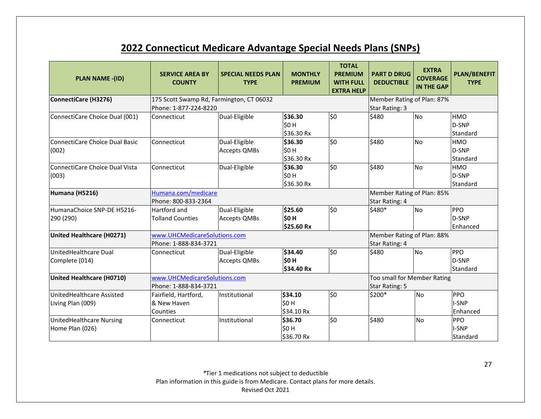## **2022 Connecticut Medicare Advantage Special Needs Plans (SNPs)**

| <b>PLAN NAME -(ID)</b>         | <b>SERVICE AREA BY</b><br><b>COUNTY</b> | <b>SPECIAL NEEDS PLAN</b><br><b>TYPE</b> | <b>MONTHLY</b><br><b>PREMIUM</b> | <b>TOTAL</b><br><b>PREMIUM</b><br><b>WITH FULL</b><br><b>EXTRA HELP</b> | <b>PART D DRUG</b><br><b>DEDUCTIBLE</b> | <b>EXTRA</b><br><b>COVERAGE</b><br><b>IN THE GAP</b> | <b>PLAN/BENEFIT</b><br><b>TYPE</b> |  |  |  |
|--------------------------------|-----------------------------------------|------------------------------------------|----------------------------------|-------------------------------------------------------------------------|-----------------------------------------|------------------------------------------------------|------------------------------------|--|--|--|
| ConnectiCare (H3276)           |                                         | 175 Scott Swamp Rd, Farmington, CT 06032 |                                  |                                                                         |                                         |                                                      | Member Rating of Plan: 87%         |  |  |  |
|                                |                                         | Phone: 1-877-224-8220                    |                                  |                                                                         |                                         |                                                      | <b>Star Rating: 3</b>              |  |  |  |
| ConnectiCare Choice Dual (001) | Connecticut                             | Dual-Eligible                            | \$36.30                          | \$0                                                                     | \$480                                   | <b>No</b>                                            | HMO                                |  |  |  |
|                                |                                         |                                          | \$0 H                            |                                                                         |                                         |                                                      | D-SNP                              |  |  |  |
|                                |                                         |                                          | \$36.30 Rx                       |                                                                         |                                         |                                                      | Standard                           |  |  |  |
| ConnectiCare Choice Dual Basic | Connecticut                             | Dual-Eligible                            | \$36.30                          | \$0                                                                     | \$480                                   | <b>No</b>                                            | <b>HMO</b>                         |  |  |  |
| (002)                          |                                         | <b>Accepts QMBs</b>                      | <b>SO H</b>                      |                                                                         |                                         |                                                      | D-SNP                              |  |  |  |
|                                |                                         |                                          | \$36.30 Rx                       |                                                                         |                                         |                                                      | Standard                           |  |  |  |
| ConnectiCare Choice Dual Vista | Connecticut                             | Dual-Eligible                            | \$36.30                          | S <sub>0</sub>                                                          | \$480                                   | <b>No</b>                                            | <b>HMO</b>                         |  |  |  |
| (003)                          |                                         |                                          | \$0 H                            |                                                                         |                                         |                                                      | D-SNP                              |  |  |  |
|                                |                                         |                                          | \$36.30 Rx                       |                                                                         |                                         |                                                      | Standard                           |  |  |  |
| Humana (H5216)                 |                                         | Humana.com/medicare                      |                                  |                                                                         |                                         |                                                      | Member Rating of Plan: 85%         |  |  |  |
|                                | Phone: 800-833-2364                     |                                          |                                  |                                                                         | Star Rating: 4                          |                                                      |                                    |  |  |  |
| HumanaChoice SNP-DE H5216-     | Hartford and                            | Dual-Eligible                            | \$25.60                          | \$0                                                                     | \$480*                                  | <b>No</b>                                            | PPO                                |  |  |  |
| 290 (290)                      | <b>Tolland Counties</b>                 | Accepts QMBs                             | <b>\$0H</b>                      |                                                                         |                                         |                                                      | D-SNP                              |  |  |  |
|                                |                                         |                                          | \$25.60 Rx                       |                                                                         |                                         |                                                      | Enhanced                           |  |  |  |
| United Healthcare (H0271)      | www.UHCMedicareSolutions.com            |                                          |                                  |                                                                         | Member Rating of Plan: 88%              |                                                      |                                    |  |  |  |
|                                | Phone: 1-888-834-3721                   |                                          |                                  |                                                                         | Star Rating: 4                          |                                                      |                                    |  |  |  |
| UnitedHealthcare Dual          | Connecticut                             | Dual-Eligible                            | \$34.40                          | \$0                                                                     | \$480                                   | <b>No</b>                                            | <b>PPO</b>                         |  |  |  |
| Complete (014)                 |                                         | <b>Accepts QMBs</b>                      | <b>\$0H</b>                      |                                                                         |                                         |                                                      | D-SNP                              |  |  |  |
|                                |                                         |                                          | \$34.40 Rx                       |                                                                         |                                         |                                                      | Standard                           |  |  |  |
| United Healthcare (H0710)      | www.UHCMedicareSolutions.com            | Too small for Member Rating              |                                  |                                                                         |                                         |                                                      |                                    |  |  |  |
|                                |                                         | Phone: 1-888-834-3721                    |                                  |                                                                         | Star Rating: 5                          |                                                      |                                    |  |  |  |
| UnitedHealthcare Assisted      | Fairfield, Hartford,                    | Institutional                            | \$34.10                          | \$0                                                                     | \$200*                                  | <b>No</b>                                            | PPO                                |  |  |  |
| Living Plan (009)              | & New Haven                             |                                          | \$0H                             |                                                                         |                                         |                                                      | I-SNP                              |  |  |  |
|                                | Counties                                |                                          | \$34.10 Rx                       |                                                                         |                                         |                                                      | Enhanced                           |  |  |  |
| UnitedHealthcare Nursing       | Connecticut                             | Institutional                            | \$36.70                          | \$0                                                                     | \$480                                   | <b>No</b>                                            | PPO                                |  |  |  |
| Home Plan (026)                |                                         |                                          | \$0 H                            |                                                                         |                                         |                                                      | I-SNP                              |  |  |  |
|                                |                                         |                                          | \$36.70 Rx                       |                                                                         |                                         |                                                      | <b>Standard</b>                    |  |  |  |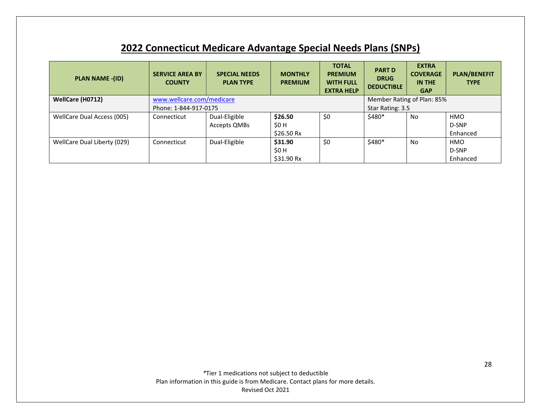## **2022 Connecticut Medicare Advantage Special Needs Plans (SNPs)**

| <b>PLAN NAME -(ID)</b>      | <b>SERVICE AREA BY</b><br><b>COUNTY</b> | <b>SPECIAL NEEDS</b><br><b>PLAN TYPE</b> | <b>MONTHLY</b><br><b>PREMIUM</b> | <b>TOTAL</b><br><b>PREMIUM</b><br><b>WITH FULL</b><br><b>EXTRA HELP</b> | <b>PART D</b><br><b>DRUG</b><br><b>DEDUCTIBLE</b> | <b>EXTRA</b><br><b>COVERAGE</b><br>IN THE<br><b>GAP</b> | <b>PLAN/BENEFIT</b><br><b>TYPE</b> |  |  |
|-----------------------------|-----------------------------------------|------------------------------------------|----------------------------------|-------------------------------------------------------------------------|---------------------------------------------------|---------------------------------------------------------|------------------------------------|--|--|
| WellCare (H0712)            |                                         | www.wellcare.com/medicare                |                                  |                                                                         |                                                   | Member Rating of Plan: 85%                              |                                    |  |  |
|                             |                                         | Phone: 1-844-917-0175                    |                                  |                                                                         |                                                   | Star Rating: 3.5                                        |                                    |  |  |
| WellCare Dual Access (005)  | Connecticut                             | Dual-Eligible                            | \$26.50                          | \$0                                                                     | \$480*                                            | No                                                      | <b>HMO</b>                         |  |  |
|                             |                                         | Accepts QMBs                             | \$0 H                            |                                                                         |                                                   |                                                         | D-SNP                              |  |  |
|                             |                                         |                                          | \$26.50 $Rx$                     |                                                                         |                                                   |                                                         | Enhanced                           |  |  |
| WellCare Dual Liberty (029) | Connecticut                             | Dual-Eligible                            | \$31.90                          | \$0                                                                     | \$480*                                            | No                                                      | HMO                                |  |  |
|                             |                                         |                                          | \$0 H                            |                                                                         |                                                   |                                                         | D-SNP                              |  |  |
|                             |                                         |                                          | \$31.90 Rx                       |                                                                         |                                                   |                                                         | Enhanced                           |  |  |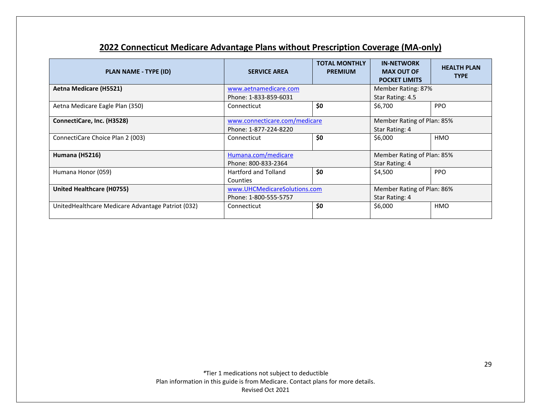## **2022 Connecticut Medicare Advantage Plans without Prescription Coverage (MA-only)**

| PLAN NAME - TYPE (ID)                              | <b>SERVICE AREA</b>           | <b>TOTAL MONTHLY</b><br><b>PREMIUM</b> | <b>IN-NETWORK</b><br><b>MAX OUT OF</b><br><b>POCKET LIMITS</b> | <b>HEALTH PLAN</b><br><b>TYPE</b> |  |
|----------------------------------------------------|-------------------------------|----------------------------------------|----------------------------------------------------------------|-----------------------------------|--|
| <b>Aetna Medicare (H5521)</b>                      | www.aetnamedicare.com         |                                        | Member Rating: 87%                                             |                                   |  |
|                                                    | Phone: 1-833-859-6031         |                                        | Star Rating: 4.5                                               |                                   |  |
| Aetna Medicare Eagle Plan (350)                    | Connecticut                   | \$0                                    | \$6,700                                                        | <b>PPO</b>                        |  |
| ConnectiCare, Inc. (H3528)                         | www.connecticare.com/medicare |                                        | Member Rating of Plan: 85%                                     |                                   |  |
|                                                    | Phone: 1-877-224-8220         |                                        | Star Rating: 4                                                 |                                   |  |
| ConnectiCare Choice Plan 2 (003)                   | Connecticut                   | \$0                                    | \$6,000                                                        | <b>HMO</b>                        |  |
| Humana (H5216)                                     | Humana.com/medicare           |                                        | Member Rating of Plan: 85%                                     |                                   |  |
|                                                    | Phone: 800-833-2364           |                                        |                                                                |                                   |  |
| Humana Honor (059)                                 | <b>Hartford and Tolland</b>   | \$0                                    | \$4,500                                                        | <b>PPO</b>                        |  |
|                                                    | Counties                      |                                        |                                                                |                                   |  |
| United Healthcare (H0755)                          | www.UHCMedicareSolutions.com  |                                        | Member Rating of Plan: 86%                                     |                                   |  |
|                                                    | Phone: 1-800-555-5757         |                                        | Star Rating: 4                                                 |                                   |  |
| United Healthcare Medicare Advantage Patriot (032) | Connecticut                   | \$0                                    | \$6,000                                                        | <b>HMO</b>                        |  |